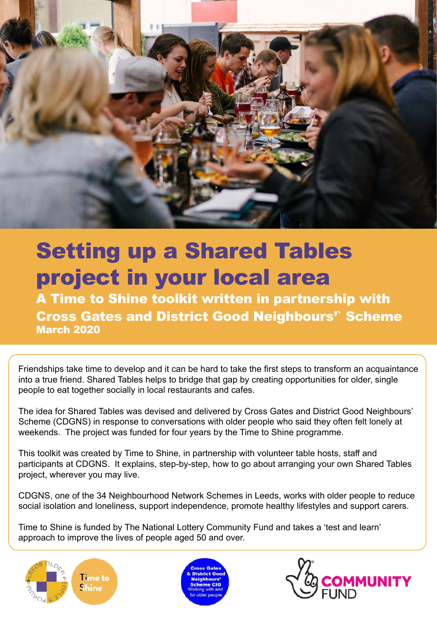

# Setting up a Shared Tables project in your local area

A Time to Shine toolkit written in partnership with Cross Gates and District Good Neighbours'` Scheme March 2020

Friendships take time to develop and it can be hard to take the first steps to transform an acquaintance into a true friend. Shared Tables helps to bridge that gap by creating opportunities for older, single people to eat together socially in local restaurants and cafes.

The idea for Shared Tables was devised and delivered by Cross Gates and District Good Neighbours' Scheme (CDGNS) in response to conversations with older people who said they often felt lonely at weekends. The project was funded for four years by the Time to Shine programme.

This toolkit was created by Time to Shine, in partnership with volunteer table hosts, staff and participants at CDGNS. It explains, step-by-step, how to go about arranging your own Shared Tables project, wherever you may live.

CDGNS, one of the 34 Neighbourhood Network Schemes in Leeds, works with older people to reduce social isolation and loneliness, support independence, promote healthy lifestyles and support carers.

Time to Shine is funded by The National Lottery Community Fund and takes a 'test and learn' approach to improve the lives of people aged 50 and over.





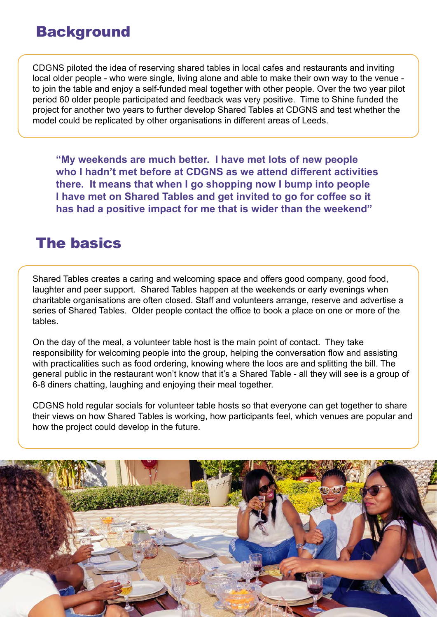#### **Background**

CDGNS piloted the idea of reserving shared tables in local cafes and restaurants and inviting local older people - who were single, living alone and able to make their own way to the venue to join the table and enjoy a self-funded meal together with other people. Over the two year pilot period 60 older people participated and feedback was very positive. Time to Shine funded the project for another two years to further develop Shared Tables at CDGNS and test whether the model could be replicated by other organisations in different areas of Leeds.

**"My weekends are much better. I have met lots of new people who I hadn't met before at CDGNS as we attend different activities there. It means that when I go shopping now I bump into people I have met on Shared Tables and get invited to go for coffee so it has had a positive impact for me that is wider than the weekend"**

### The basics

Shared Tables creates a caring and welcoming space and offers good company, good food, laughter and peer support. Shared Tables happen at the weekends or early evenings when charitable organisations are often closed. Staff and volunteers arrange, reserve and advertise a series of Shared Tables. Older people contact the office to book a place on one or more of the tables.

On the day of the meal, a volunteer table host is the main point of contact. They take responsibility for welcoming people into the group, helping the conversation flow and assisting with practicalities such as food ordering, knowing where the loos are and splitting the bill. The general public in the restaurant won't know that it's a Shared Table - all they will see is a group of 6-8 diners chatting, laughing and enjoying their meal together.

CDGNS hold regular socials for volunteer table hosts so that everyone can get together to share their views on how Shared Tables is working, how participants feel, which venues are popular and how the project could develop in the future.

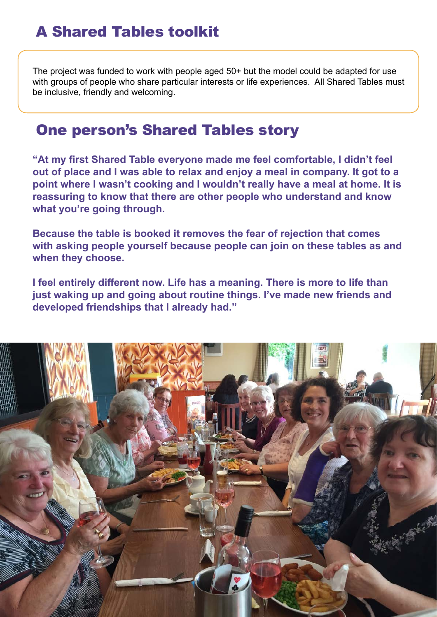# A Shared Tables toolkit

The project was funded to work with people aged 50+ but the model could be adapted for use with groups of people who share particular interests or life experiences. All Shared Tables must be inclusive, friendly and welcoming.

#### One person's Shared Tables story

**"At my first Shared Table everyone made me feel comfortable, I didn't feel out of place and I was able to relax and enjoy a meal in company. It got to a point where I wasn't cooking and I wouldn't really have a meal at home. It is reassuring to know that there are other people who understand and know what you're going through.**

**Because the table is booked it removes the fear of rejection that comes with asking people yourself because people can join on these tables as and when they choose.**

**I feel entirely different now. Life has a meaning. There is more to life than just waking up and going about routine things. I've made new friends and developed friendships that I already had."**

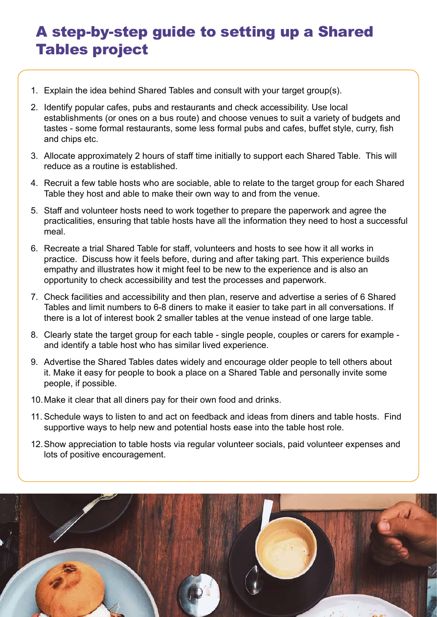# A step-by-step guide to setting up a Shared Tables project

- 1. Explain the idea behind Shared Tables and consult with your target group(s).
- 2. Identify popular cafes, pubs and restaurants and check accessibility. Use local establishments (or ones on a bus route) and choose venues to suit a variety of budgets and tastes - some formal restaurants, some less formal pubs and cafes, buffet style, curry, fish and chips etc.
- 3. Allocate approximately 2 hours of staff time initially to support each Shared Table. This will reduce as a routine is established.
- 4. Recruit a few table hosts who are sociable, able to relate to the target group for each Shared Table they host and able to make their own way to and from the venue.
- 5. Staff and volunteer hosts need to work together to prepare the paperwork and agree the practicalities, ensuring that table hosts have all the information they need to host a successful meal.
- 6. Recreate a trial Shared Table for staff, volunteers and hosts to see how it all works in practice. Discuss how it feels before, during and after taking part. This experience builds empathy and illustrates how it might feel to be new to the experience and is also an opportunity to check accessibility and test the processes and paperwork.
- 7. Check facilities and accessibility and then plan, reserve and advertise a series of 6 Shared Tables and limit numbers to 6-8 diners to make it easier to take part in all conversations. If there is a lot of interest book 2 smaller tables at the venue instead of one large table.
- 8. Clearly state the target group for each table single people, couples or carers for example and identify a table host who has similar lived experience.
- 9. Advertise the Shared Tables dates widely and encourage older people to tell others about it. Make it easy for people to book a place on a Shared Table and personally invite some people, if possible.
- 10.Make it clear that all diners pay for their own food and drinks.
- 11. Schedule ways to listen to and act on feedback and ideas from diners and table hosts. Find supportive ways to help new and potential hosts ease into the table host role.
- 12.Show appreciation to table hosts via regular volunteer socials, paid volunteer expenses and lots of positive encouragement.

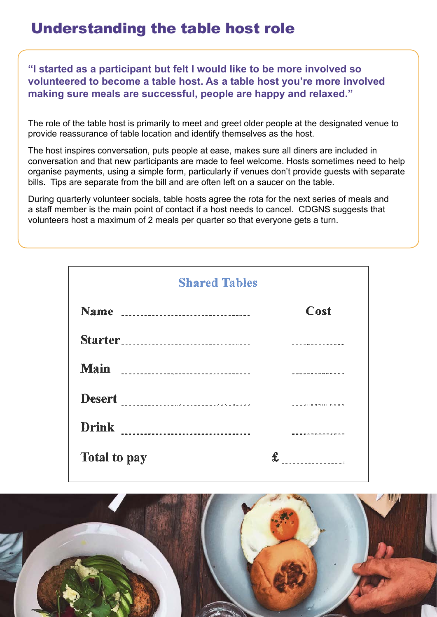# Understanding the table host role

**"I started as a participant but felt I would like to be more involved so volunteered to become a table host. As a table host you're more involved making sure meals are successful, people are happy and relaxed."**

The role of the table host is primarily to meet and greet older people at the designated venue to provide reassurance of table location and identify themselves as the host.

The host inspires conversation, puts people at ease, makes sure all diners are included in conversation and that new participants are made to feel welcome. Hosts sometimes need to help organise payments, using a simple form, particularly if venues don't provide guests with separate bills. Tips are separate from the bill and are often left on a saucer on the table.

During quarterly volunteer socials, table hosts agree the rota for the next series of meals and a staff member is the main point of contact if a host needs to cancel. CDGNS suggests that volunteers host a maximum of 2 meals per quarter so that everyone gets a turn.

| <b>Shared Tables</b>                               |                  |  |
|----------------------------------------------------|------------------|--|
|                                                    | Cost             |  |
|                                                    |                  |  |
| <b>Main</b><br>---------------------------------   |                  |  |
| <b>Desert</b><br>--------------------------------- |                  |  |
| <b>Drink</b><br>________________________________   |                  |  |
| Total to pay                                       | ---------------- |  |

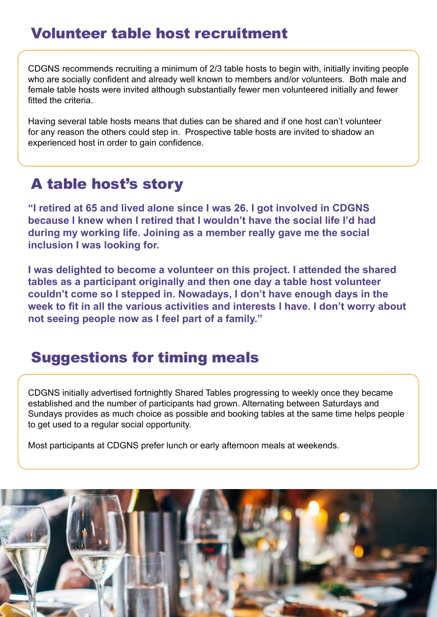# Volunteer table host recruitment

CDGNS recommends recruiting a minimum of 2/3 table hosts to begin with, initially inviting people who are socially confident and already well known to members and/or volunteers. Both male and female table hosts were invited although substantially fewer men volunteered initially and fewer fitted the criteria.

Having several table hosts means that duties can be shared and if one host can't volunteer for any reason the others could step in. Prospective table hosts are invited to shadow an experienced host in order to gain confidence.

# A table host's story

**"I retired at 65 and lived alone since I was 26. I got involved in CDGNS because I knew when I retired that I wouldn't have the social life I'd had during my working life. Joining as a member really gave me the social inclusion I was looking for.**

**I was delighted to become a volunteer on this project. I attended the shared tables as a participant originally and then one day a table host volunteer couldn't come so I stepped in. Nowadays, I don't have enough days in the week to fit in all the various activities and interests I have. I don't worry about not seeing people now as I feel part of a family."**

### Suggestions for timing meals

CDGNS initially advertised fortnightly Shared Tables progressing to weekly once they became established and the number of participants had grown. Alternating between Saturdays and Sundays provides as much choice as possible and booking tables at the same time helps people to get used to a regular social opportunity.

Most participants at CDGNS prefer lunch or early afternoon meals at weekends.

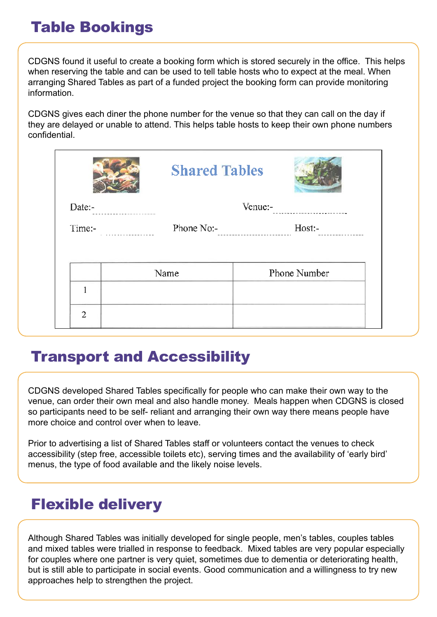# Table Bookings

CDGNS found it useful to create a booking form which is stored securely in the office. This helps when reserving the table and can be used to tell table hosts who to expect at the meal. When arranging Shared Tables as part of a funded project the booking form can provide monitoring information.

CDGNS gives each diner the phone number for the venue so that they can call on the day if they are delayed or unable to attend. This helps table hosts to keep their own phone numbers confidential.

|                | <b>Shared Tables</b> |              |  |
|----------------|----------------------|--------------|--|
| Date:-         |                      | Venue:-      |  |
| Time:-         | Phone No:-           | Host:-       |  |
|                | Name                 | Phone Number |  |
|                |                      |              |  |
| $\overline{2}$ |                      |              |  |

### Transport and Accessibility

CDGNS developed Shared Tables specifically for people who can make their own way to the venue, can order their own meal and also handle money. Meals happen when CDGNS is closed so participants need to be self- reliant and arranging their own way there means people have more choice and control over when to leave.

Prior to advertising a list of Shared Tables staff or volunteers contact the venues to check accessibility (step free, accessible toilets etc), serving times and the availability of 'early bird' menus, the type of food available and the likely noise levels.

# Flexible delivery

Although Shared Tables was initially developed for single people, men's tables, couples tables and mixed tables were trialled in response to feedback. Mixed tables are very popular especially for couples where one partner is very quiet, sometimes due to dementia or deteriorating health, but is still able to participate in social events. Good communication and a willingness to try new approaches help to strengthen the project.